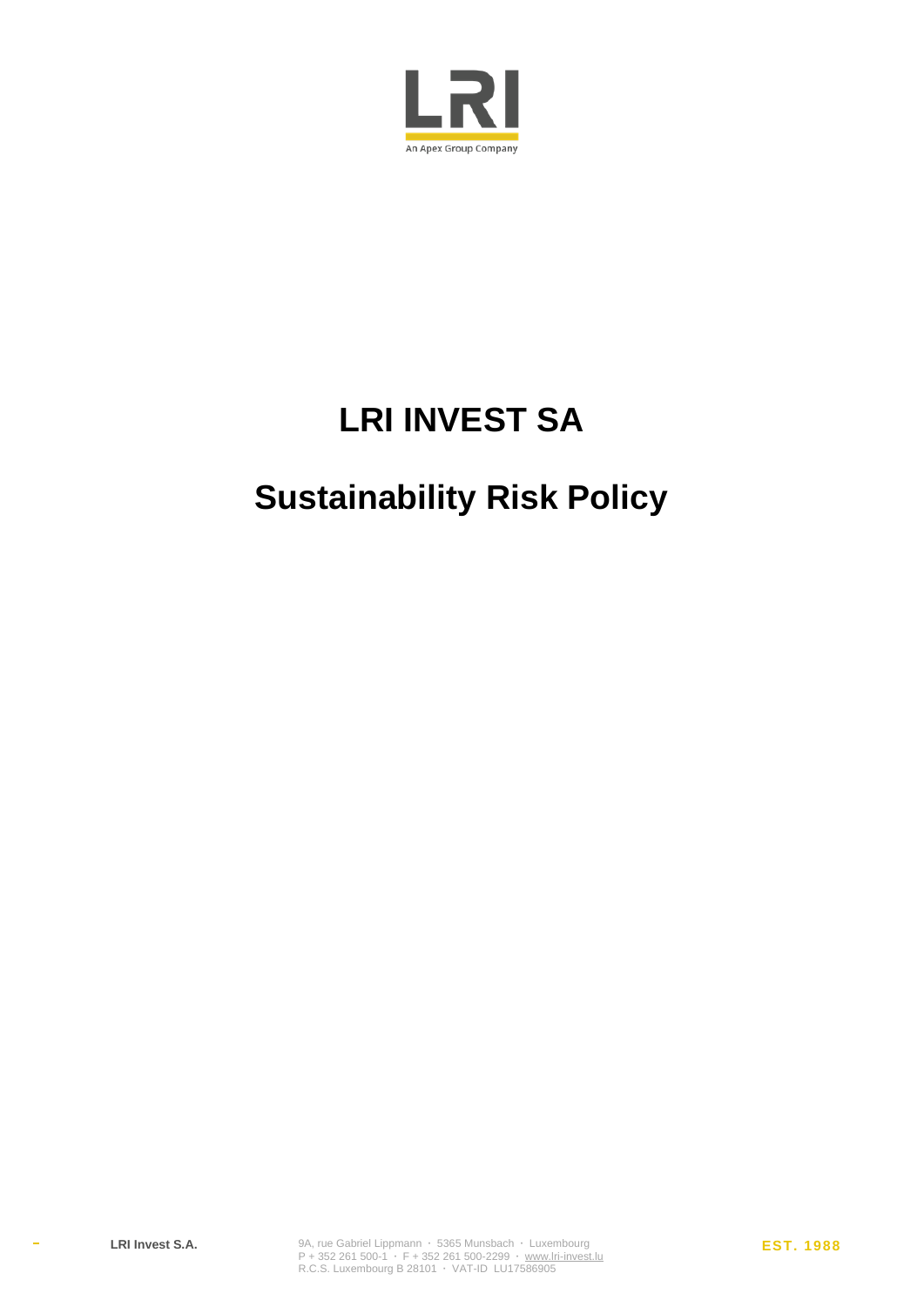

# **LRI INVEST SA**

# **Sustainability Risk Policy**

 $\bar{\phantom{a}}$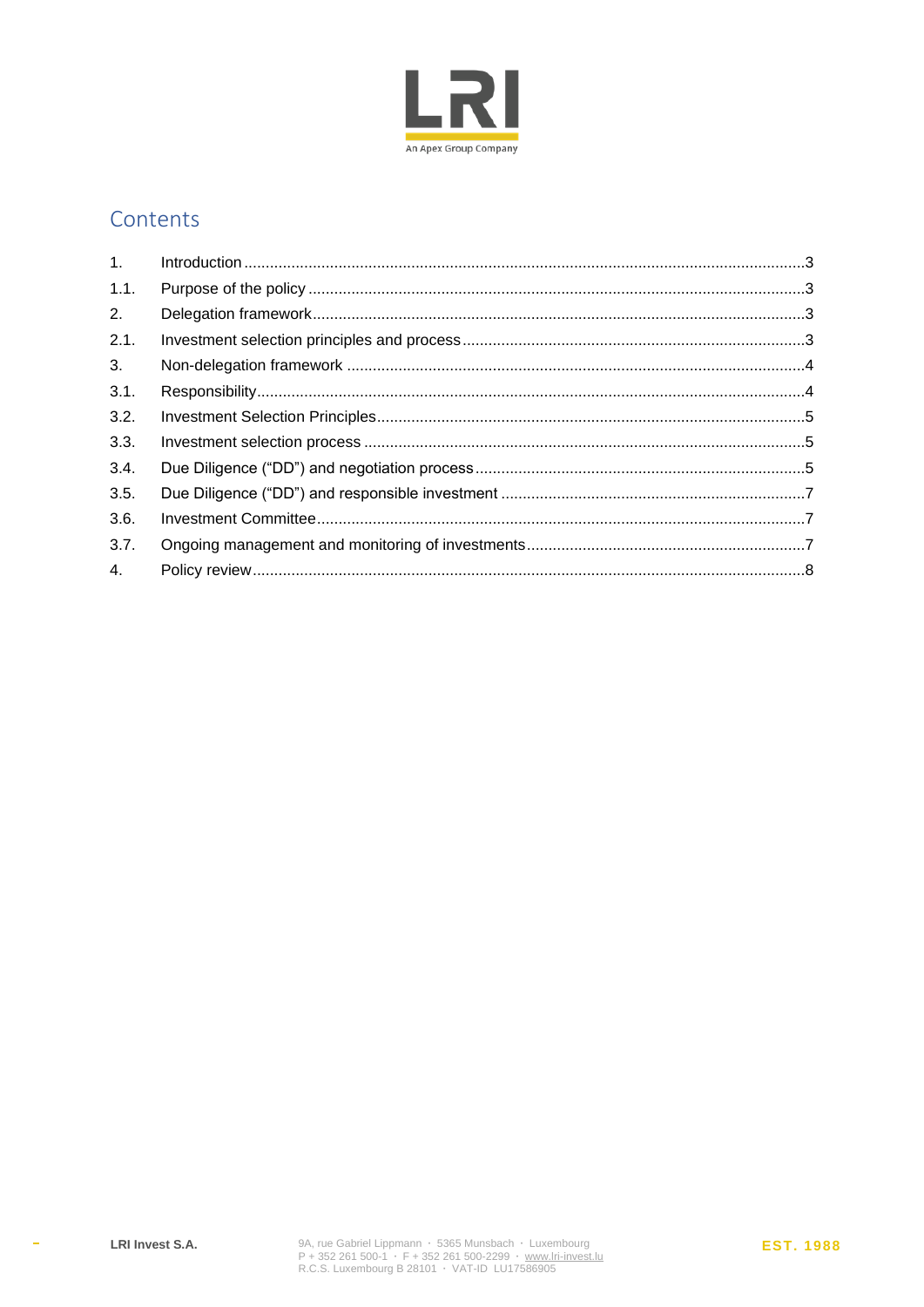

### Contents

| 1.   |  |
|------|--|
| 1.1. |  |
| 2.   |  |
| 2.1. |  |
| 3.   |  |
| 3.1. |  |
| 3.2. |  |
| 3.3. |  |
| 3.4. |  |
| 3.5. |  |
| 3.6. |  |
| 3.7. |  |
| 4.   |  |

 $\Delta \sim 10^4$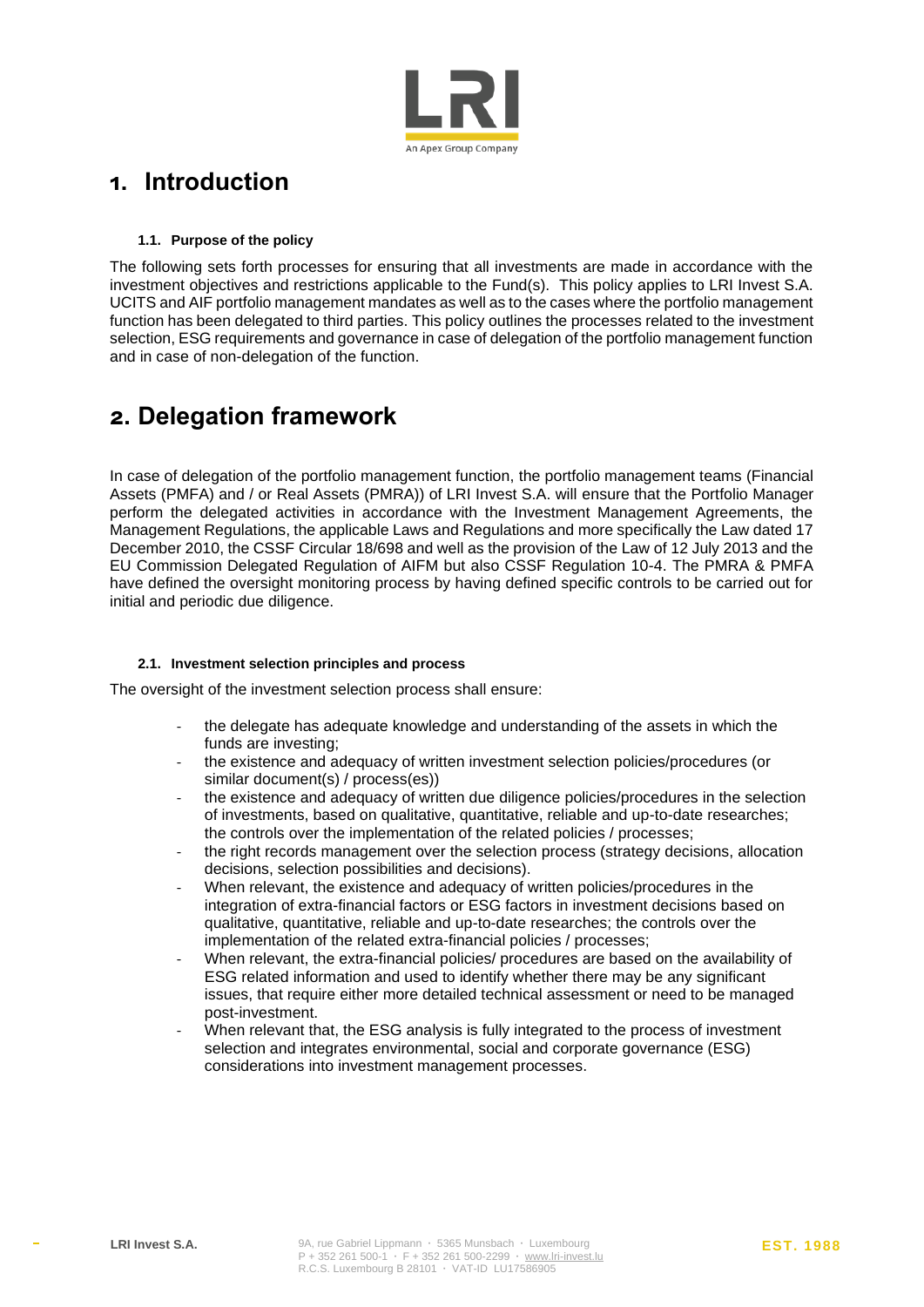

### <span id="page-2-0"></span>**1. Introduction**

#### **1.1. Purpose of the policy**

<span id="page-2-1"></span>The following sets forth processes for ensuring that all investments are made in accordance with the investment objectives and restrictions applicable to the Fund(s). This policy applies to LRI Invest S.A. UCITS and AIF portfolio management mandates as well as to the cases where the portfolio management function has been delegated to third parties. This policy outlines the processes related to the investment selection, ESG requirements and governance in case of delegation of the portfolio management function and in case of non-delegation of the function.

## <span id="page-2-2"></span>**2. Delegation framework**

In case of delegation of the portfolio management function, the portfolio management teams (Financial Assets (PMFA) and / or Real Assets (PMRA)) of LRI Invest S.A. will ensure that the Portfolio Manager perform the delegated activities in accordance with the Investment Management Agreements, the Management Regulations, the applicable Laws and Regulations and more specifically the Law dated 17 December 2010, the CSSF Circular 18/698 and well as the provision of the Law of 12 July 2013 and the EU Commission Delegated Regulation of AIFM but also CSSF Regulation 10-4. The PMRA & PMFA have defined the oversight monitoring process by having defined specific controls to be carried out for initial and periodic due diligence.

#### <span id="page-2-3"></span>**2.1. Investment selection principles and process**

The oversight of the investment selection process shall ensure:

- the delegate has adequate knowledge and understanding of the assets in which the funds are investing;
- the existence and adequacy of written investment selection policies/procedures (or similar document(s) / process(es))
- the existence and adequacy of written due diligence policies/procedures in the selection of investments, based on qualitative, quantitative, reliable and up-to-date researches; the controls over the implementation of the related policies / processes;
- the right records management over the selection process (strategy decisions, allocation decisions, selection possibilities and decisions).
- When relevant, the existence and adequacy of written policies/procedures in the integration of extra-financial factors or ESG factors in investment decisions based on qualitative, quantitative, reliable and up-to-date researches; the controls over the implementation of the related extra-financial policies / processes;
- When relevant, the extra-financial policies/ procedures are based on the availability of ESG related information and used to identify whether there may be any significant issues, that require either more detailed technical assessment or need to be managed post-investment.
- When relevant that, the ESG analysis is fully integrated to the process of investment selection and integrates environmental, social and corporate governance (ESG) considerations into investment management processes.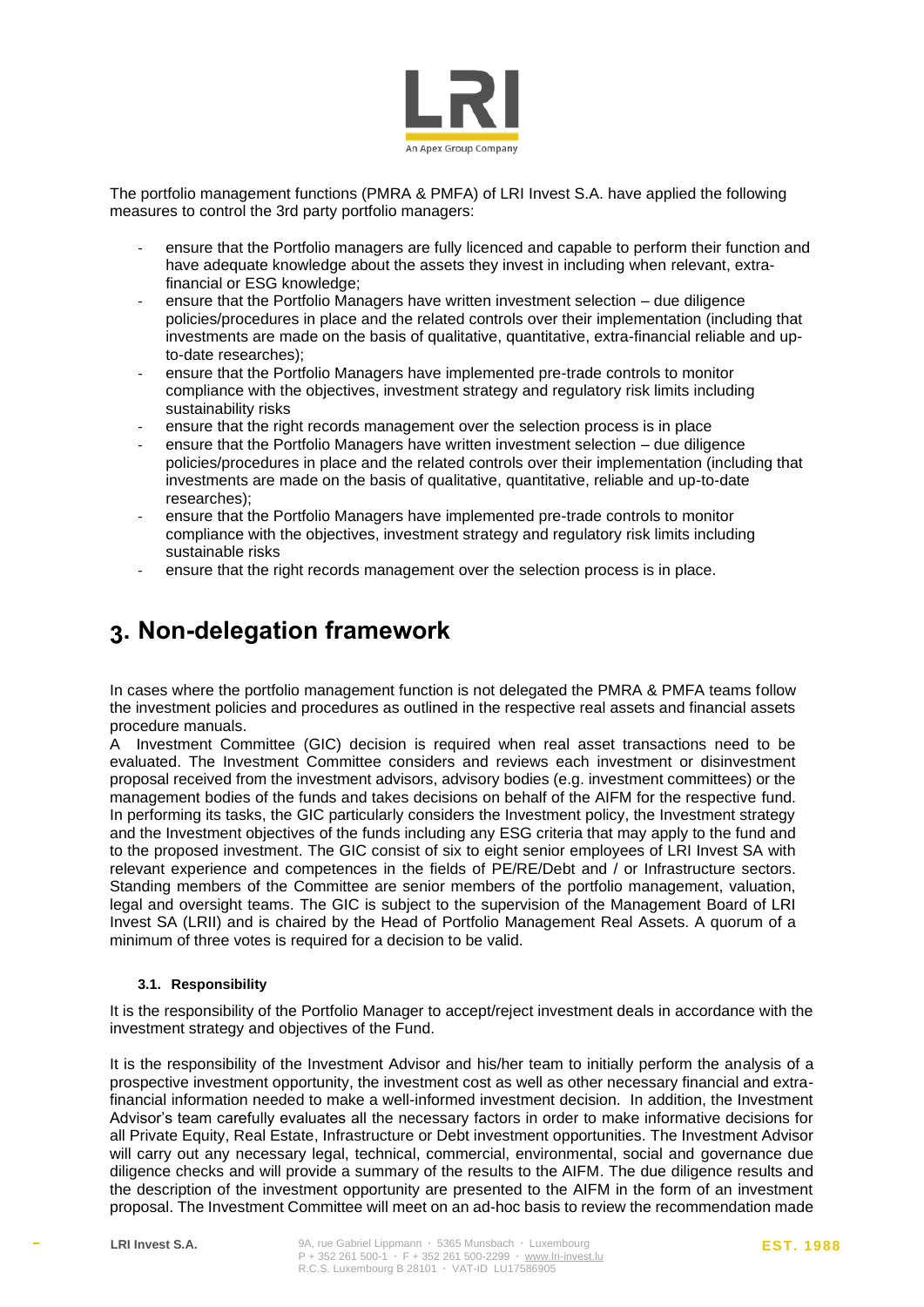

The portfolio management functions (PMRA & PMFA) of LRI Invest S.A. have applied the following measures to control the 3rd party portfolio managers:

- ensure that the Portfolio managers are fully licenced and capable to perform their function and have adequate knowledge about the assets they invest in including when relevant, extrafinancial or ESG knowledge;
- ensure that the Portfolio Managers have written investment selection due diligence policies/procedures in place and the related controls over their implementation (including that investments are made on the basis of qualitative, quantitative, extra-financial reliable and upto-date researches);
- ensure that the Portfolio Managers have implemented pre-trade controls to monitor compliance with the objectives, investment strategy and regulatory risk limits including sustainability risks
- ensure that the right records management over the selection process is in place
- ensure that the Portfolio Managers have written investment selection due diligence policies/procedures in place and the related controls over their implementation (including that investments are made on the basis of qualitative, quantitative, reliable and up-to-date researches);
- ensure that the Portfolio Managers have implemented pre-trade controls to monitor compliance with the objectives, investment strategy and regulatory risk limits including sustainable risks
- ensure that the right records management over the selection process is in place.

## <span id="page-3-0"></span>**3. Non-delegation framework**

In cases where the portfolio management function is not delegated the PMRA & PMFA teams follow the investment policies and procedures as outlined in the respective real assets and financial assets procedure manuals.

A Investment Committee (GIC) decision is required when real asset transactions need to be evaluated. The Investment Committee considers and reviews each investment or disinvestment proposal received from the investment advisors, advisory bodies (e.g. investment committees) or the management bodies of the funds and takes decisions on behalf of the AIFM for the respective fund. In performing its tasks, the GIC particularly considers the Investment policy, the Investment strategy and the Investment objectives of the funds including any ESG criteria that may apply to the fund and to the proposed investment. The GIC consist of six to eight senior employees of LRI Invest SA with relevant experience and competences in the fields of PE/RE/Debt and / or Infrastructure sectors. Standing members of the Committee are senior members of the portfolio management, valuation, legal and oversight teams. The GIC is subject to the supervision of the Management Board of LRI Invest SA (LRII) and is chaired by the Head of Portfolio Management Real Assets. A quorum of a minimum of three votes is required for a decision to be valid.

#### <span id="page-3-1"></span>**3.1. Responsibility**

It is the responsibility of the Portfolio Manager to accept/reject investment deals in accordance with the investment strategy and objectives of the Fund.

It is the responsibility of the Investment Advisor and his/her team to initially perform the analysis of a prospective investment opportunity, the investment cost as well as other necessary financial and extrafinancial information needed to make a well-informed investment decision. In addition, the Investment Advisor's team carefully evaluates all the necessary factors in order to make informative decisions for all Private Equity, Real Estate, Infrastructure or Debt investment opportunities. The Investment Advisor will carry out any necessary legal, technical, commercial, environmental, social and governance due diligence checks and will provide a summary of the results to the AIFM. The due diligence results and the description of the investment opportunity are presented to the AIFM in the form of an investment proposal. The Investment Committee will meet on an ad-hoc basis to review the recommendation made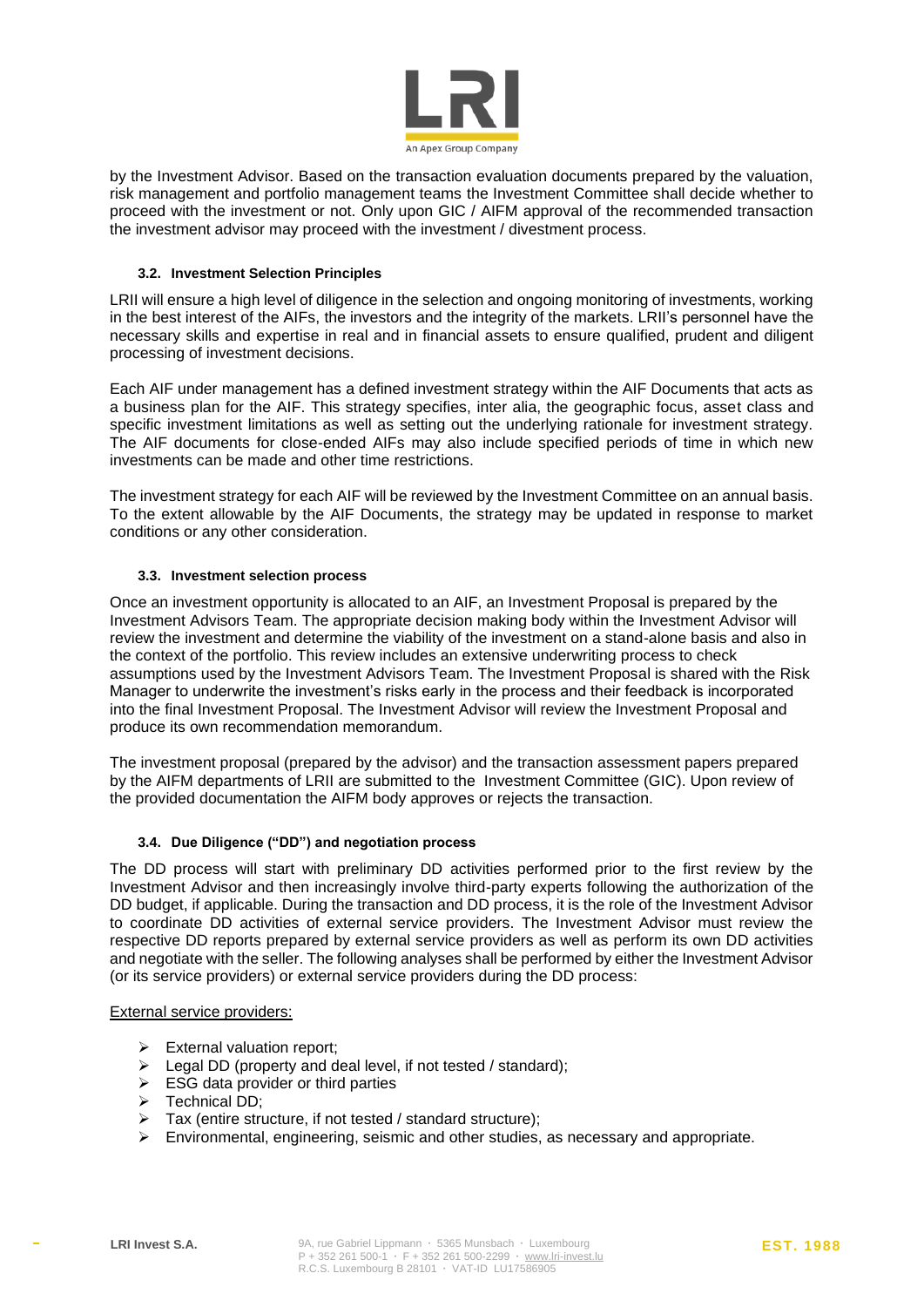

by the Investment Advisor. Based on the transaction evaluation documents prepared by the valuation, risk management and portfolio management teams the Investment Committee shall decide whether to proceed with the investment or not. Only upon GIC / AIFM approval of the recommended transaction the investment advisor may proceed with the investment / divestment process.

#### <span id="page-4-0"></span>**3.2. Investment Selection Principles**

LRII will ensure a high level of diligence in the selection and ongoing monitoring of investments, working in the best interest of the AIFs, the investors and the integrity of the markets. LRII's personnel have the necessary skills and expertise in real and in financial assets to ensure qualified, prudent and diligent processing of investment decisions.

Each AIF under management has a defined investment strategy within the AIF Documents that acts as a business plan for the AIF. This strategy specifies, inter alia, the geographic focus, asset class and specific investment limitations as well as setting out the underlying rationale for investment strategy. The AIF documents for close-ended AIFs may also include specified periods of time in which new investments can be made and other time restrictions.

The investment strategy for each AIF will be reviewed by the Investment Committee on an annual basis. To the extent allowable by the AIF Documents, the strategy may be updated in response to market conditions or any other consideration.

#### <span id="page-4-1"></span>**3.3. Investment selection process**

Once an investment opportunity is allocated to an AIF, an Investment Proposal is prepared by the Investment Advisors Team. The appropriate decision making body within the Investment Advisor will review the investment and determine the viability of the investment on a stand-alone basis and also in the context of the portfolio. This review includes an extensive underwriting process to check assumptions used by the Investment Advisors Team. The Investment Proposal is shared with the Risk Manager to underwrite the investment's risks early in the process and their feedback is incorporated into the final Investment Proposal. The Investment Advisor will review the Investment Proposal and produce its own recommendation memorandum.

The investment proposal (prepared by the advisor) and the transaction assessment papers prepared by the AIFM departments of LRII are submitted to the Investment Committee (GIC). Upon review of the provided documentation the AIFM body approves or rejects the transaction.

#### <span id="page-4-2"></span>**3.4. Due Diligence ("DD") and negotiation process**

The DD process will start with preliminary DD activities performed prior to the first review by the Investment Advisor and then increasingly involve third-party experts following the authorization of the DD budget, if applicable. During the transaction and DD process, it is the role of the Investment Advisor to coordinate DD activities of external service providers. The Investment Advisor must review the respective DD reports prepared by external service providers as well as perform its own DD activities and negotiate with the seller. The following analyses shall be performed by either the Investment Advisor (or its service providers) or external service providers during the DD process:

#### External service providers:

- ➢ External valuation report;
- ➢ Legal DD (property and deal level, if not tested / standard);
- $\triangleright$  ESG data provider or third parties
- ➢ Technical DD;
- ➢ Tax (entire structure, if not tested / standard structure);
- $\triangleright$  Environmental, engineering, seismic and other studies, as necessary and appropriate.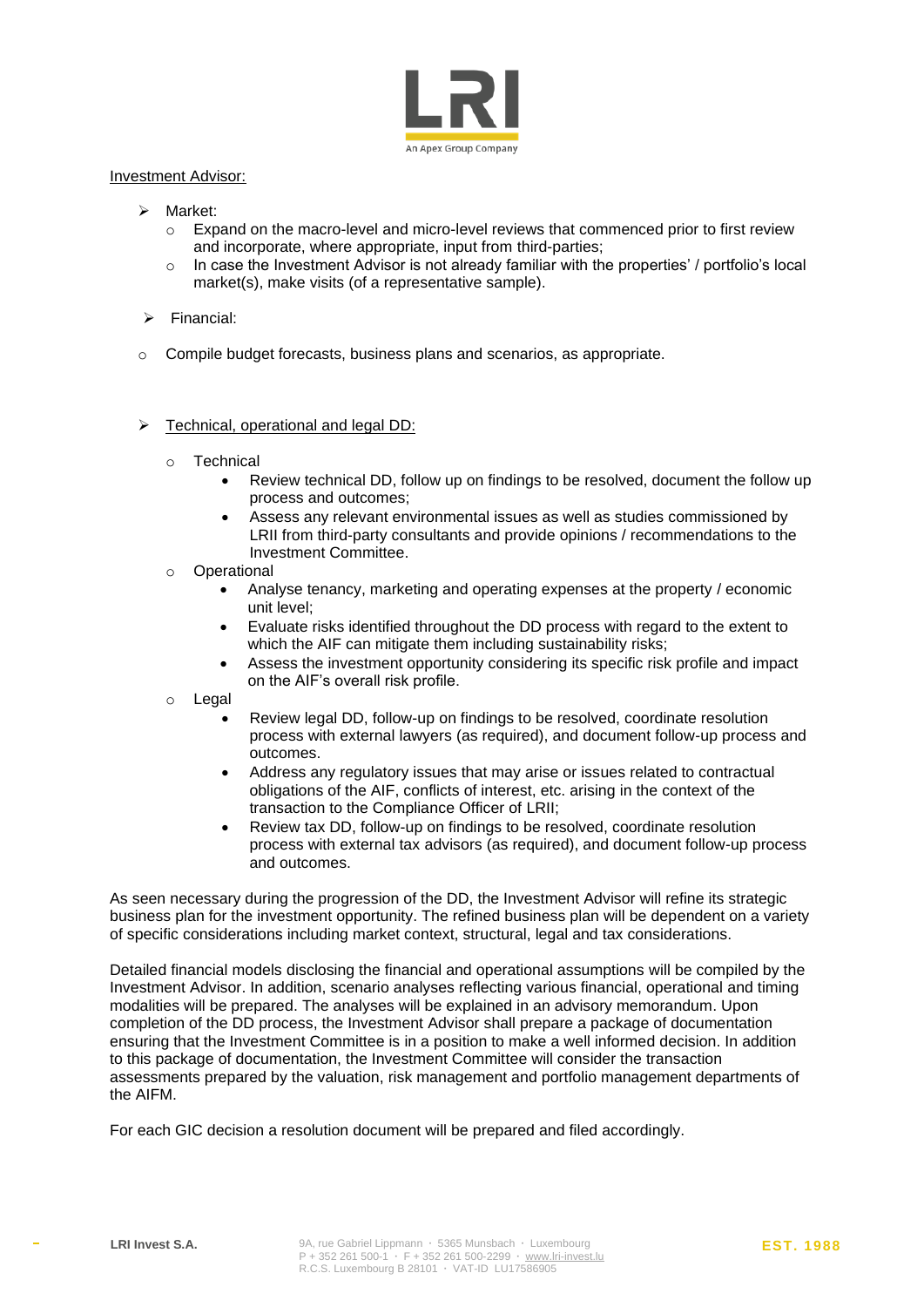

#### Investment Advisor:

- ➢ Market:
	- o Expand on the macro-level and micro-level reviews that commenced prior to first review and incorporate, where appropriate, input from third-parties;
	- $\circ$  In case the Investment Advisor is not already familiar with the properties' / portfolio's local market(s), make visits (of a representative sample).
- ➢ Financial:
- o Compile budget forecasts, business plans and scenarios, as appropriate.

#### ➢ Technical, operational and legal DD:

- o Technical
	- Review technical DD, follow up on findings to be resolved, document the follow up process and outcomes;
	- Assess any relevant environmental issues as well as studies commissioned by LRII from third-party consultants and provide opinions / recommendations to the Investment Committee.
- o Operational
	- Analyse tenancy, marketing and operating expenses at the property / economic unit level;
	- Evaluate risks identified throughout the DD process with regard to the extent to which the AIF can mitigate them including sustainability risks;
	- Assess the investment opportunity considering its specific risk profile and impact on the AIF's overall risk profile.
- o Legal
	- Review legal DD, follow-up on findings to be resolved, coordinate resolution process with external lawyers (as required), and document follow-up process and outcomes.
	- Address any regulatory issues that may arise or issues related to contractual obligations of the AIF, conflicts of interest, etc. arising in the context of the transaction to the Compliance Officer of LRII;
	- Review tax DD, follow-up on findings to be resolved, coordinate resolution process with external tax advisors (as required), and document follow-up process and outcomes.

As seen necessary during the progression of the DD, the Investment Advisor will refine its strategic business plan for the investment opportunity. The refined business plan will be dependent on a variety of specific considerations including market context, structural, legal and tax considerations.

Detailed financial models disclosing the financial and operational assumptions will be compiled by the Investment Advisor. In addition, scenario analyses reflecting various financial, operational and timing modalities will be prepared. The analyses will be explained in an advisory memorandum. Upon completion of the DD process, the Investment Advisor shall prepare a package of documentation ensuring that the Investment Committee is in a position to make a well informed decision. In addition to this package of documentation, the Investment Committee will consider the transaction assessments prepared by the valuation, risk management and portfolio management departments of the AIFM.

For each GIC decision a resolution document will be prepared and filed accordingly.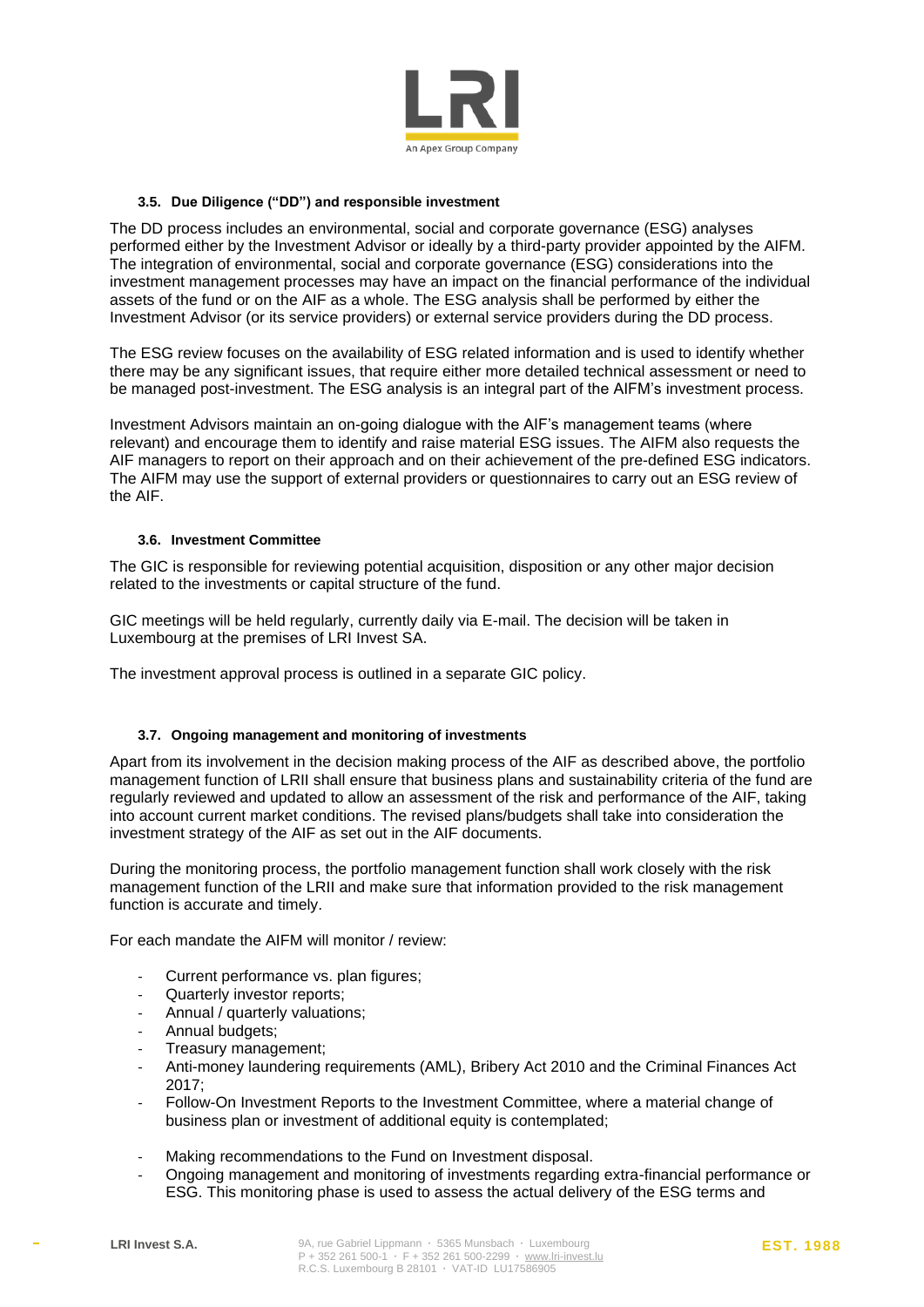

#### <span id="page-6-0"></span>**3.5. Due Diligence ("DD") and responsible investment**

The DD process includes an environmental, social and corporate governance (ESG) analyses performed either by the Investment Advisor or ideally by a third-party provider appointed by the AIFM. The integration of environmental, social and corporate governance (ESG) considerations into the investment management processes may have an impact on the financial performance of the individual assets of the fund or on the AIF as a whole. The ESG analysis shall be performed by either the Investment Advisor (or its service providers) or external service providers during the DD process.

The ESG review focuses on the availability of ESG related information and is used to identify whether there may be any significant issues, that require either more detailed technical assessment or need to be managed post-investment. The ESG analysis is an integral part of the AIFM's investment process.

Investment Advisors maintain an on-going dialogue with the AIF's management teams (where relevant) and encourage them to identify and raise material ESG issues. The AIFM also requests the AIF managers to report on their approach and on their achievement of the pre-defined ESG indicators. The AIFM may use the support of external providers or questionnaires to carry out an ESG review of the AIF.

#### <span id="page-6-1"></span>**3.6. Investment Committee**

The GIC is responsible for reviewing potential acquisition, disposition or any other major decision related to the investments or capital structure of the fund.

GIC meetings will be held regularly, currently daily via E-mail. The decision will be taken in Luxembourg at the premises of LRI Invest SA.

The investment approval process is outlined in a separate GIC policy.

#### <span id="page-6-2"></span>**3.7. Ongoing management and monitoring of investments**

Apart from its involvement in the decision making process of the AIF as described above, the portfolio management function of LRII shall ensure that business plans and sustainability criteria of the fund are regularly reviewed and updated to allow an assessment of the risk and performance of the AIF, taking into account current market conditions. The revised plans/budgets shall take into consideration the investment strategy of the AIF as set out in the AIF documents.

During the monitoring process, the portfolio management function shall work closely with the risk management function of the LRII and make sure that information provided to the risk management function is accurate and timely.

For each mandate the AIFM will monitor / review:

- Current performance vs. plan figures;
- Quarterly investor reports;
- Annual / quarterly valuations;
- Annual budgets;
- Treasury management;
- Anti-money laundering requirements (AML), Bribery Act 2010 and the Criminal Finances Act 2017;
- Follow-On Investment Reports to the Investment Committee, where a material change of business plan or investment of additional equity is contemplated;
- Making recommendations to the Fund on Investment disposal.
- Ongoing management and monitoring of investments regarding extra-financial performance or ESG. This monitoring phase is used to assess the actual delivery of the ESG terms and